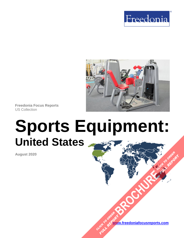



**Freedonia Focus Reports** US Collection

# **Sports Equipment: United States**

**August 2020**

**[www.freedoniafocusreports.com](https://www.freedoniafocusreports.com/redirect.asp?progid=89534&url=/)** CLICK TO ORDER **FULL REPORT** 

**[BROCHURE](https://www.freedoniafocusreports.com/Sports-Equipment-United-States-FF90020/?progid=89541) CLICK TO ORDER** 

**FULL REPORT**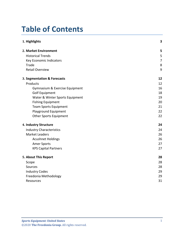# **Table of Contents**

| 1. Highlights                   | 3  |
|---------------------------------|----|
| 2. Market Environment           | 5  |
| <b>Historical Trends</b>        | 5  |
| Key Economic Indicators         | 7  |
| Trade                           | 8  |
| <b>Retail Overview</b>          | 9  |
| 3. Segmentation & Forecasts     | 12 |
| Products                        | 12 |
| Gymnasium & Exercise Equipment  | 16 |
| <b>Golf Equipment</b>           | 18 |
| Water & Winter Sports Equipment | 19 |
| <b>Fishing Equipment</b>        | 20 |
| <b>Team Sports Equipment</b>    | 21 |
| Playground Equipment            | 22 |
| <b>Other Sports Equipment</b>   | 22 |
| 4. Industry Structure           | 24 |
| <b>Industry Characteristics</b> | 24 |
| <b>Market Leaders</b>           | 26 |
| <b>Acushnet Holdings</b>        | 26 |
| <b>Amer Sports</b>              | 27 |
| <b>KPS Capital Partners</b>     | 27 |
| 5. About This Report            | 28 |
| Scope                           | 28 |
| Sources                         | 28 |
| <b>Industry Codes</b>           | 29 |
| Freedonia Methodology           | 29 |
| Resources                       | 31 |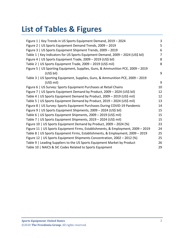# **List of Tables & Figures**

| Figure 1   Key Trends in US Sports Equipment Demand, 2019 - 2024                 | 3              |
|----------------------------------------------------------------------------------|----------------|
| Figure 2   US Sports Equipment Demand Trends, 2009 - 2019                        | 5              |
| Figure 3   US Sports Equipment Shipment Trends, 2009 - 2019                      | 6              |
| Table 1   Key Indicators for US Sports Equipment Demand, 2009 - 2024 (US\$ bil)  | $\overline{7}$ |
| Figure 4   US Sports Equipment Trade, 2009 - 2019 (US\$ bil)                     | 8              |
| Table 2   US Sports Equipment Trade, 2009 - 2019 (US\$ mil)                      | 8              |
| Figure 5   US Sporting Equipment, Supplies, Guns, & Ammunition PCE, 2009 - 2019  |                |
| (US\$ bil)                                                                       | 9              |
| Table 3   US Sporting Equipment, Supplies, Guns, & Ammunition PCE, 2009 - 2019   |                |
| $(US$)$ mil)                                                                     | 9              |
| Figure 6   US Survey: Sports Equipment Purchases at Retail Chains                | 10             |
| Figure 7   US Sports Equipment Demand by Product, 2009 - 2024 (US\$ bil)         | 12             |
| Table 4   US Sports Equipment Demand by Product, 2009 - 2019 (US\$ mil)          | 12             |
| Table 5   US Sports Equipment Demand by Product, 2019 - 2024 (US\$ mil)          | 13             |
| Figure 8   US Survey: Sports Equipment Purchases During COVID-19 Pandemic        | 14             |
| Figure 9   US Sports Equipment Shipments, 2009 - 2024 (US\$ bil)                 | 15             |
| Table 6   US Sports Equipment Shipments, 2009 - 2019 (US\$ mil)                  | 15             |
| Table 7   US Sports Equipment Shipments, 2019 - 2024 (US\$ mil)                  | 15             |
| Figure 10   US Sports Equipment Demand by Product, 2009 - 2024 (%)               | 23             |
| Figure 11   US Sports Equipment Firms, Establishments, & Employment, 2009 - 2019 | 24             |
| Table 8   US Sports Equipment Firms, Establishments, & Employment, 2009 - 2019   | 25             |
| Figure 12   US Sports Equipment Shipments Concentration, 2002 - 2012 (%)         | 25             |
| Table 9   Leading Suppliers to the US Sports Equipment Market by Product         | 26             |
| Table 10   NAICS & SIC Codes Related to Sports Equipment                         | 29             |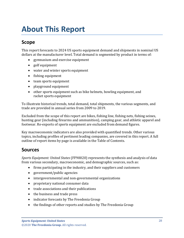# <span id="page-3-0"></span>**About This Report**

# <span id="page-3-1"></span>**Scope**

This report forecasts to 2024 US sports equipment demand and shipments in nominal US dollars at the manufacturer level. Total demand is segmented by product in terms of:

- gymnasium and exercise equipment
- golf equipment
- water and winter sports equipment
- fishing equipment
- team sports equipment
- playground equipment
- other sports equipment such as bike helmets, bowling equipment, and racket sports equipment

To illustrate historical trends, total demand, total shipments, the various segments, and trade are provided in annual series from 2009 to 2019.

Excluded from the scope of this report are bikes, fishing line, fishing nets, fishing seines, hunting gear (including firearms and ammunition), camping gear, and athletic apparel and footwear. Re-exports of sports equipment are excluded from demand figures.

Key macroeconomic indicators are also provided with quantified trends. Other various topics, including profiles of pertinent leading companies, are covered in this report. A full outline of report items by page is available in the Table of Contents.

### <span id="page-3-2"></span>**Sources**

*Sports Equipment: United States* (FF90020) represents the synthesis and analysis of data from various secondary, macroeconomic, and demographic sources, such as:

- firms participating in the industry, and their suppliers and customers
- government/public agencies
- intergovernmental and non-governmental organizations
- proprietary national consumer data
- trade associations and their publications
- the business and trade press
- indicator forecasts by The Freedonia Group
- the findings of other reports and studies by The Freedonia Group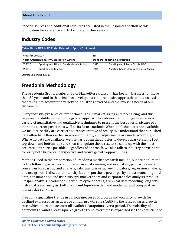Specific sources and additional resources are listed in the Resources section of this publication for reference and to facilitate further research.

## <span id="page-4-0"></span>**Industry Codes**

<span id="page-4-2"></span>

| Table 10   NAICS & SIC Codes Related to Sports Equipment |                                           |                                           |                                         |  |  |
|----------------------------------------------------------|-------------------------------------------|-------------------------------------------|-----------------------------------------|--|--|
| <b>NAICS/SCIAN 2017</b><br><b>SIC</b>                    |                                           |                                           |                                         |  |  |
| North American Industry Classification System            |                                           | <b>Standard Industrial Classification</b> |                                         |  |  |
| 339920                                                   | Sporting and Athletic Goods Manufacturing | 3949                                      | Sporting and Athletic Goods, NEC        |  |  |
| 451110                                                   | <b>Sporting Goods Stores</b>              | 5941                                      | Sporting Goods Stores and Bicycle Shops |  |  |

Source: US Census Bureau

# <span id="page-4-1"></span>**Freedonia Methodology**

The Freedonia Group, a subsidiary of MarketResearch.com, has been in business for more than 30 years and in that time has developed a comprehensive approach to data analysis that takes into account the variety of industries covered and the evolving needs of our customers.

Every industry presents different challenges in market sizing and forecasting, and this requires flexibility in methodology and approach. Freedonia methodology integrates a variety of quantitative and qualitative techniques to present the best overall picture of a market's current position as well as its future outlook: When published data are available, we make sure they are correct and representative of reality. We understand that published data often have flaws either in scope or quality, and adjustments are made accordingly. Where no data are available, we use various methodologies to develop market sizing (both top-down and bottom-up) and then triangulate those results to come up with the most accurate data series possible. Regardless of approach, we also talk to industry participants to verify both historical perspective and future growth opportunities.

Methods used in the preparation of Freedonia market research include, but are not limited to, the following activities: comprehensive data mining and evaluation, primary research, consensus forecasting and analysis, ratio analysis using key indicators, regression analysis, end use growth indices and intensity factors, purchase power parity adjustments for global data, consumer and end user surveys, market share and corporate sales analysis, product lifespan analysis, product or market life cycle analysis, graphical data modeling, long-term historical trend analysis, bottom-up and top-down demand modeling, and comparative market size ranking.

Freedonia quantifies trends in various measures of growth and volatility. Growth (or decline) expressed as an average annual growth rate (AAGR) is the least squares growth rate, which takes into account all available datapoints over a period. The volatility of datapoints around a least squares growth trend over time is expressed via the coefficient of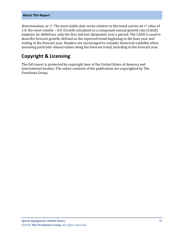#### **About This Report**

determination, or  $r^2$ . The most stable data series relative to the trend carries an  $r^2$  value of 1.0; the most volatile – 0.0. Growth calculated as a compound annual growth rate (CAGR) employs, by definition, only the first and last datapoints over a period. The CAGR is used to describe forecast growth, defined as the expected trend beginning in the base year and ending in the forecast year. Readers are encouraged to consider historical volatility when assessing particular annual values along the forecast trend, including in the forecast year.

## **Copyright & Licensing**

The full report is protected by copyright laws of the United States of America and international treaties. The entire contents of the publication are copyrighted by The Freedonia Group.